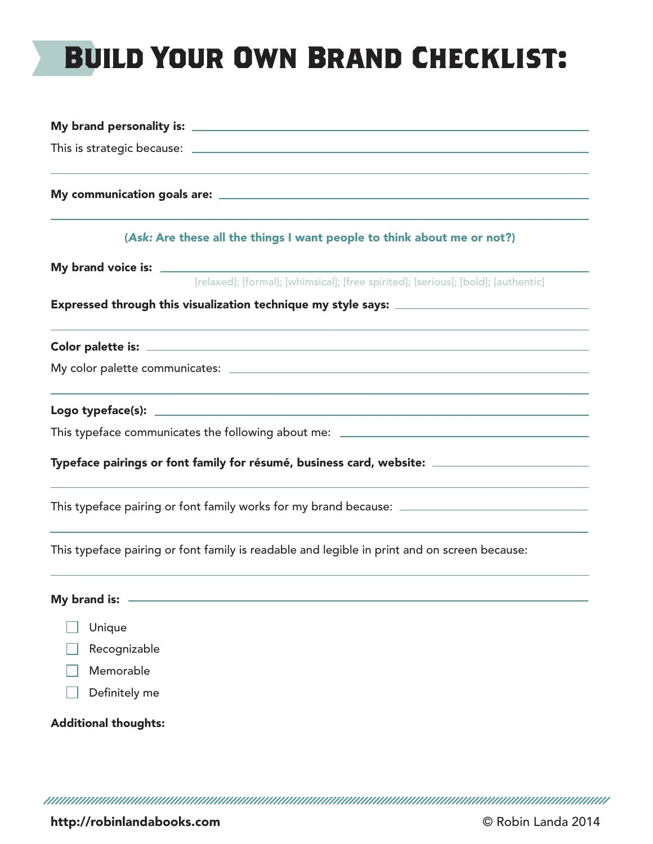# **Build Your Own Brand Checklist:**

|                             | [relaxed]; [formal]; [whimsical]; [free spirited]; [serious]; [bold]; [authentic]                    |
|-----------------------------|------------------------------------------------------------------------------------------------------|
|                             |                                                                                                      |
|                             |                                                                                                      |
|                             |                                                                                                      |
|                             |                                                                                                      |
|                             | This typeface communicates the following about me: ______________________________                    |
|                             | Typeface pairings or font family for résumé, business card, website: _______________________________ |
|                             | This typeface pairing or font family works for my brand because: ___________________________________ |
|                             | This typeface pairing or font family is readable and legible in print and on screen because:         |
| My brand is:                |                                                                                                      |
| Unique                      |                                                                                                      |
| Recognizable                |                                                                                                      |
| Memorable                   |                                                                                                      |
| Definitely me               |                                                                                                      |
| <b>Additional thoughts:</b> |                                                                                                      |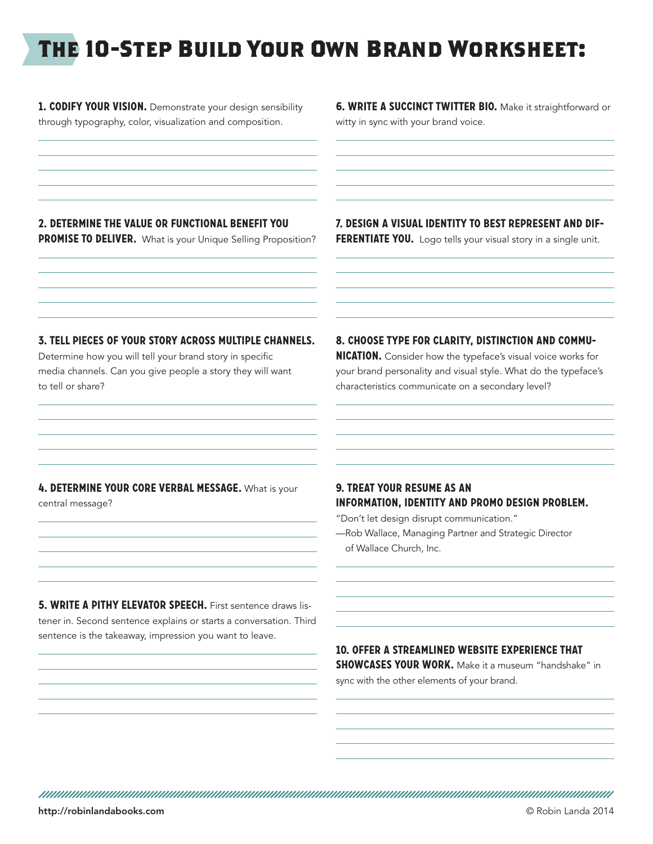## **The 10-Step Build Your Own Brand Worksheet:**

**1. CODIFY YOUR VISION.** Demonstrate your design sensibility through typography, color, visualization and composition.

**6. WRITE A SUCCINCT TWITTER BIO.** Make it straightforward or witty in sync with your brand voice.

#### **2. Determine the value or functional benefit you**

**PROMISE TO DELIVER.** What is your Unique Selling Proposition?

**7. Design a visual identity to best represent and dif-**

**FERENTIATE YOU.** Logo tells your visual story in a single unit.

#### **3. Tell pieces of your story across multiple channels.**

Determine how you will tell your brand story in specific media channels. Can you give people a story they will want to tell or share?

#### **8. Choose type for clarity, distinction and commu-**

**nication.** Consider how the typeface's visual voice works for your brand personality and visual style. What do the typeface's characteristics communicate on a secondary level?

#### **4. Determine your core verbal message.** What is your central message?

#### **9. Treat your resume as an information, identity and promo design problem.**

"Don't let design disrupt communication."

—Rob Wallace, Managing Partner and Strategic Director of Wallace Church, Inc.

**5. WRITE A PITHY ELEVATOR SPEECH.** First sentence draws listener in. Second sentence explains or starts a conversation. Third sentence is the takeaway, impression you want to leave.

#### **10. Offer a streamlined website experience that**

**SHOWCASES YOUR WORK.** Make it a museum "handshake" in sync with the other elements of your brand.